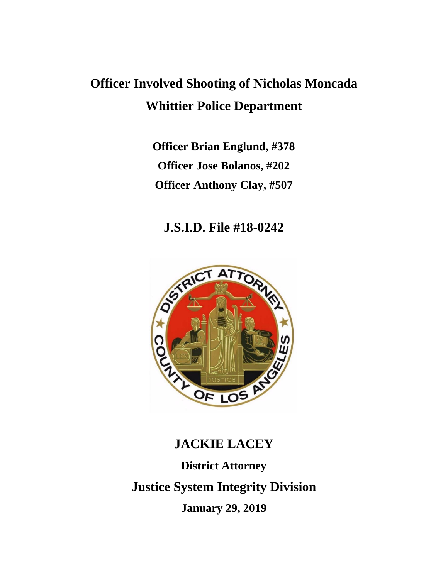# **Officer Involved Shooting of Nicholas Moncada Whittier Police Department**

**Officer Brian Englund, #378 Officer Jose Bolanos, #202 Officer Anthony Clay, #507**

# **J.S.I.D. File #18-0242**



# **JACKIE LACEY District Attorney Justice System Integrity Division January 29, 2019**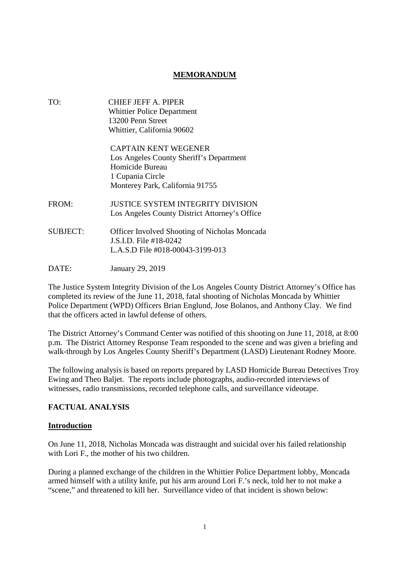# **MEMORANDUM**

| TO:             | CHIEF JEFF A. PIPER<br><b>Whittier Police Department</b><br>13200 Penn Street<br>Whittier, California 90602                                      |
|-----------------|--------------------------------------------------------------------------------------------------------------------------------------------------|
|                 | <b>CAPTAIN KENT WEGENER</b><br>Los Angeles County Sheriff's Department<br>Homicide Bureau<br>1 Cupania Circle<br>Monterey Park, California 91755 |
| FROM:           | <b>JUSTICE SYSTEM INTEGRITY DIVISION</b><br>Los Angeles County District Attorney's Office                                                        |
| <b>SUBJECT:</b> | <b>Officer Involved Shooting of Nicholas Moncada</b><br>$\overline{1}$ S I D. File #18-0242<br>L.A.S.D File #018-00043-3199-013                  |
| DATE:           | January 29, 2019                                                                                                                                 |

The Justice System Integrity Division of the Los Angeles County District Attorney's Office has completed its review of the June 11, 2018, fatal shooting of Nicholas Moncada by Whittier Police Department (WPD) Officers Brian Englund, Jose Bolanos, and Anthony Clay. We find that the officers acted in lawful defense of others.

The District Attorney's Command Center was notified of this shooting on June 11, 2018, at 8:00 p.m. The District Attorney Response Team responded to the scene and was given a briefing and walk-through by Los Angeles County Sheriff's Department (LASD) Lieutenant Rodney Moore.

The following analysis is based on reports prepared by LASD Homicide Bureau Detectives Troy Ewing and Theo Baljet. The reports include photographs, audio-recorded interviews of witnesses, radio transmissions, recorded telephone calls, and surveillance videotape.

# **FACTUAL ANALYSIS**

#### **Introduction**

On June 11, 2018, Nicholas Moncada was distraught and suicidal over his failed relationship with Lori F., the mother of his two children.

During a planned exchange of the children in the Whittier Police Department lobby, Moncada armed himself with a utility knife, put his arm around Lori F.'s neck, told her to not make a "scene," and threatened to kill her. Surveillance video of that incident is shown below: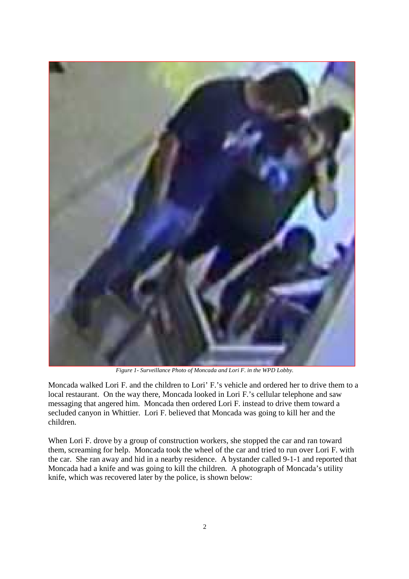

*Figure 1- Surveillance Photo of Moncada and Lori F. in the WPD Lobby.*

Moncada walked Lori F. and the children to Lori' F.'s vehicle and ordered her to drive them to a local restaurant. On the way there, Moncada looked in Lori F.'s cellular telephone and saw messaging that angered him. Moncada then ordered Lori F. instead to drive them toward a secluded canyon in Whittier. Lori F. believed that Moncada was going to kill her and the children.

When Lori F. drove by a group of construction workers, she stopped the car and ran toward them, screaming for help. Moncada took the wheel of the car and tried to run over Lori F. with the car. She ran away and hid in a nearby residence. A bystander called 9-1-1 and reported that Moncada had a knife and was going to kill the children. A photograph of Moncada's utility knife, which was recovered later by the police, is shown below: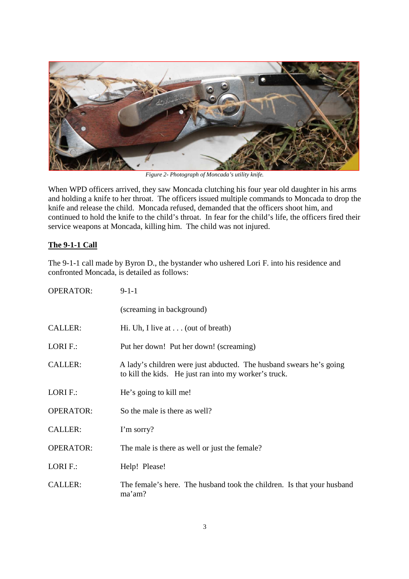

*Figure 2- Photograph of Moncada's utility knife.*

When WPD officers arrived, they saw Moncada clutching his four year old daughter in his arms and holding a knife to her throat. The officers issued multiple commands to Moncada to drop the knife and release the child. Moncada refused, demanded that the officers shoot him, and continued to hold the knife to the child's throat. In fear for the child's life, the officers fired their service weapons at Moncada, killing him. The child was not injured.

# **The 9-1-1 Call**

The 9-1-1 call made by Byron D., the bystander who ushered Lori F. into his residence and confronted Moncada, is detailed as follows:

| <b>OPERATOR:</b> | $9-1-1$                                                                                                                      |  |
|------------------|------------------------------------------------------------------------------------------------------------------------------|--|
|                  | (screaming in background)                                                                                                    |  |
| <b>CALLER:</b>   | Hi. Uh, I live at $\ldots$ (out of breath)                                                                                   |  |
| LORI F.:         | Put her down! Put her down! (screaming)                                                                                      |  |
| <b>CALLER:</b>   | A lady's children were just abducted. The husband swears he's going<br>to kill the kids. He just ran into my worker's truck. |  |
| LORI F.:         | He's going to kill me!                                                                                                       |  |
| <b>OPERATOR:</b> | So the male is there as well?                                                                                                |  |
| <b>CALLER:</b>   | I'm sorry?                                                                                                                   |  |
| <b>OPERATOR:</b> | The male is there as well or just the female?                                                                                |  |
| LORI F.:         | Help! Please!                                                                                                                |  |
| <b>CALLER:</b>   | The female's here. The husband took the children. Is that your husband<br>ma'am?                                             |  |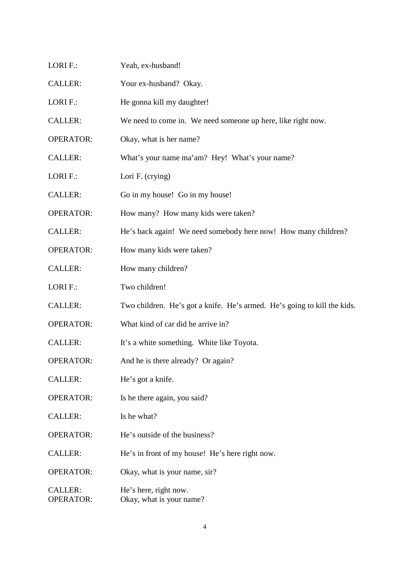| LORI F.:                           | Yeah, ex-husband!                                                        |
|------------------------------------|--------------------------------------------------------------------------|
| <b>CALLER:</b>                     | Your ex-husband? Okay.                                                   |
| LORI F.:                           | He gonna kill my daughter!                                               |
| <b>CALLER:</b>                     | We need to come in. We need someone up here, like right now.             |
| <b>OPERATOR:</b>                   | Okay, what is her name?                                                  |
| <b>CALLER:</b>                     | What's your name ma'am? Hey! What's your name?                           |
| LORI F.:                           | Lori F. (crying)                                                         |
| <b>CALLER:</b>                     | Go in my house! Go in my house!                                          |
| <b>OPERATOR:</b>                   | How many? How many kids were taken?                                      |
| <b>CALLER:</b>                     | He's back again! We need somebody here now! How many children?           |
| <b>OPERATOR:</b>                   | How many kids were taken?                                                |
| <b>CALLER:</b>                     | How many children?                                                       |
| LORI F.:                           | Two children!                                                            |
| <b>CALLER:</b>                     | Two children. He's got a knife. He's armed. He's going to kill the kids. |
| <b>OPERATOR:</b>                   | What kind of car did he arrive in?                                       |
| <b>CALLER:</b>                     | It's a white something. White like Toyota.                               |
| <b>OPERATOR:</b>                   | And he is there already? Or again?                                       |
| <b>CALLER:</b>                     | He's got a knife.                                                        |
| <b>OPERATOR:</b>                   | Is he there again, you said?                                             |
| <b>CALLER:</b>                     | Is he what?                                                              |
| <b>OPERATOR:</b>                   | He's outside of the business?                                            |
| <b>CALLER:</b>                     | He's in front of my house! He's here right now.                          |
| <b>OPERATOR:</b>                   | Okay, what is your name, sir?                                            |
| <b>CALLER:</b><br><b>OPERATOR:</b> | He's here, right now.<br>Okay, what is your name?                        |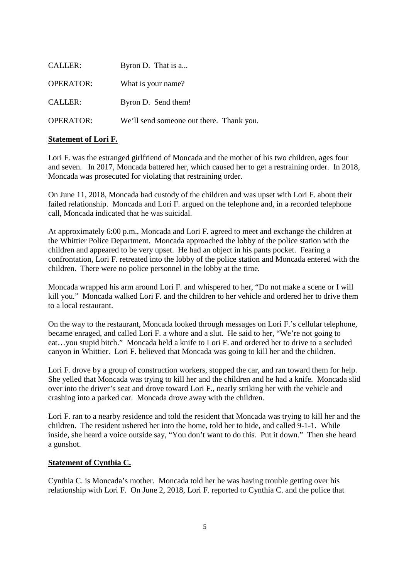| CALLER:          | Byron D. That is a                       |
|------------------|------------------------------------------|
| <b>OPERATOR:</b> | What is your name?                       |
| <b>CALLER:</b>   | Byron D. Send them!                      |
| <b>OPERATOR:</b> | We'll send someone out there. Thank you. |

# **Statement of Lori F.**

Lori F. was the estranged girlfriend of Moncada and the mother of his two children, ages four and seven. In 2017, Moncada battered her, which caused her to get a restraining order. In 2018, Moncada was prosecuted for violating that restraining order.

On June 11, 2018, Moncada had custody of the children and was upset with Lori F. about their failed relationship. Moncada and Lori F. argued on the telephone and, in a recorded telephone call, Moncada indicated that he was suicidal.

At approximately 6:00 p.m., Moncada and Lori F. agreed to meet and exchange the children at the Whittier Police Department. Moncada approached the lobby of the police station with the children and appeared to be very upset. He had an object in his pants pocket. Fearing a confrontation, Lori F. retreated into the lobby of the police station and Moncada entered with the children. There were no police personnel in the lobby at the time.

Moncada wrapped his arm around Lori F. and whispered to her, "Do not make a scene or I will kill you." Moncada walked Lori F. and the children to her vehicle and ordered her to drive them to a local restaurant.

On the way to the restaurant, Moncada looked through messages on Lori F.'s cellular telephone, became enraged, and called Lori F. a whore and a slut. He said to her, "We're not going to eat…you stupid bitch." Moncada held a knife to Lori F. and ordered her to drive to a secluded canyon in Whittier. Lori F. believed that Moncada was going to kill her and the children.

Lori F. drove by a group of construction workers, stopped the car, and ran toward them for help. She yelled that Moncada was trying to kill her and the children and he had a knife. Moncada slid over into the driver's seat and drove toward Lori F., nearly striking her with the vehicle and crashing into a parked car. Moncada drove away with the children.

Lori F. ran to a nearby residence and told the resident that Moncada was trying to kill her and the children. The resident ushered her into the home, told her to hide, and called 9-1-1. While inside, she heard a voice outside say, "You don't want to do this. Put it down." Then she heard a gunshot.

#### **Statement of Cynthia C.**

Cynthia C. is Moncada's mother. Moncada told her he was having trouble getting over his relationship with Lori F. On June 2, 2018, Lori F. reported to Cynthia C. and the police that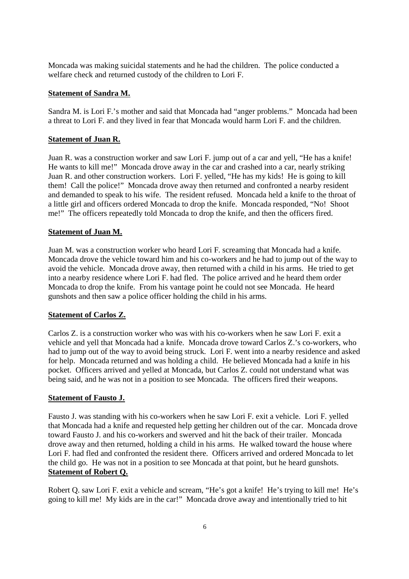Moncada was making suicidal statements and he had the children. The police conducted a welfare check and returned custody of the children to Lori F.

#### **Statement of Sandra M.**

Sandra M. is Lori F.'s mother and said that Moncada had "anger problems." Moncada had been a threat to Lori F. and they lived in fear that Moncada would harm Lori F. and the children.

#### **Statement of Juan R.**

Juan R. was a construction worker and saw Lori F. jump out of a car and yell, "He has a knife! He wants to kill me!" Moncada drove away in the car and crashed into a car, nearly striking Juan R. and other construction workers. Lori F. yelled, "He has my kids! He is going to kill them! Call the police!" Moncada drove away then returned and confronted a nearby resident and demanded to speak to his wife. The resident refused. Moncada held a knife to the throat of a little girl and officers ordered Moncada to drop the knife. Moncada responded, "No! Shoot me!" The officers repeatedly told Moncada to drop the knife, and then the officers fired.

#### **Statement of Juan M.**

Juan M. was a construction worker who heard Lori F. screaming that Moncada had a knife. Moncada drove the vehicle toward him and his co-workers and he had to jump out of the way to avoid the vehicle. Moncada drove away, then returned with a child in his arms. He tried to get into a nearby residence where Lori F. had fled. The police arrived and he heard them order Moncada to drop the knife. From his vantage point he could not see Moncada. He heard gunshots and then saw a police officer holding the child in his arms.

#### **Statement of Carlos Z.**

Carlos Z. is a construction worker who was with his co-workers when he saw Lori F. exit a vehicle and yell that Moncada had a knife. Moncada drove toward Carlos Z.'s co-workers, who had to jump out of the way to avoid being struck. Lori F. went into a nearby residence and asked for help. Moncada returned and was holding a child. He believed Moncada had a knife in his pocket. Officers arrived and yelled at Moncada, but Carlos Z. could not understand what was being said, and he was not in a position to see Moncada. The officers fired their weapons.

#### **Statement of Fausto J.**

Fausto J. was standing with his co-workers when he saw Lori F. exit a vehicle. Lori F. yelled that Moncada had a knife and requested help getting her children out of the car. Moncada drove toward Fausto J. and his co-workers and swerved and hit the back of their trailer. Moncada drove away and then returned, holding a child in his arms. He walked toward the house where Lori F. had fled and confronted the resident there. Officers arrived and ordered Moncada to let the child go. He was not in a position to see Moncada at that point, but he heard gunshots. **Statement of Robert Q.**

Robert Q. saw Lori F. exit a vehicle and scream, "He's got a knife! He's trying to kill me! He's going to kill me! My kids are in the car!" Moncada drove away and intentionally tried to hit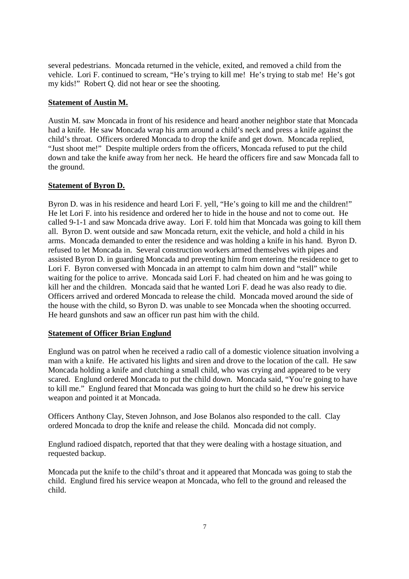several pedestrians. Moncada returned in the vehicle, exited, and removed a child from the vehicle. Lori F. continued to scream, "He's trying to kill me! He's trying to stab me! He's got my kids!" Robert Q. did not hear or see the shooting.

# **Statement of Austin M.**

Austin M. saw Moncada in front of his residence and heard another neighbor state that Moncada had a knife. He saw Moncada wrap his arm around a child's neck and press a knife against the child's throat. Officers ordered Moncada to drop the knife and get down. Moncada replied, "Just shoot me!" Despite multiple orders from the officers, Moncada refused to put the child down and take the knife away from her neck. He heard the officers fire and saw Moncada fall to the ground.

# **Statement of Byron D.**

Byron D. was in his residence and heard Lori F. yell, "He's going to kill me and the children!" He let Lori F. into his residence and ordered her to hide in the house and not to come out. He called 9-1-1 and saw Moncada drive away. Lori F. told him that Moncada was going to kill them all. Byron D. went outside and saw Moncada return, exit the vehicle, and hold a child in his arms. Moncada demanded to enter the residence and was holding a knife in his hand. Byron D. refused to let Moncada in. Several construction workers armed themselves with pipes and assisted Byron D. in guarding Moncada and preventing him from entering the residence to get to Lori F. Byron conversed with Moncada in an attempt to calm him down and "stall" while waiting for the police to arrive. Moncada said Lori F. had cheated on him and he was going to kill her and the children. Moncada said that he wanted Lori F. dead he was also ready to die. Officers arrived and ordered Moncada to release the child. Moncada moved around the side of the house with the child, so Byron D. was unable to see Moncada when the shooting occurred. He heard gunshots and saw an officer run past him with the child.

#### **Statement of Officer Brian Englund**

Englund was on patrol when he received a radio call of a domestic violence situation involving a man with a knife. He activated his lights and siren and drove to the location of the call. He saw Moncada holding a knife and clutching a small child, who was crying and appeared to be very scared. Englund ordered Moncada to put the child down. Moncada said, "You're going to have to kill me." Englund feared that Moncada was going to hurt the child so he drew his service weapon and pointed it at Moncada.

Officers Anthony Clay, Steven Johnson, and Jose Bolanos also responded to the call. Clay ordered Moncada to drop the knife and release the child. Moncada did not comply.

Englund radioed dispatch, reported that that they were dealing with a hostage situation, and requested backup.

Moncada put the knife to the child's throat and it appeared that Moncada was going to stab the child. Englund fired his service weapon at Moncada, who fell to the ground and released the child.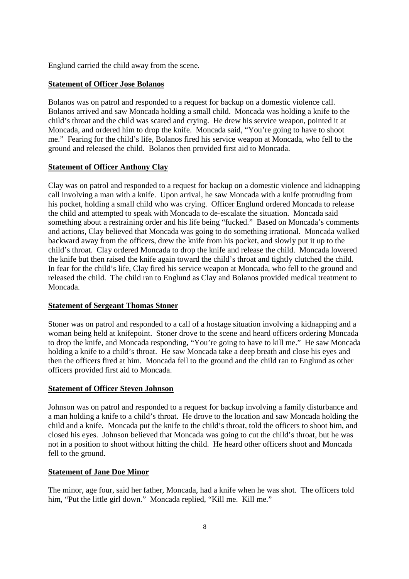Englund carried the child away from the scene.

# **Statement of Officer Jose Bolanos**

Bolanos was on patrol and responded to a request for backup on a domestic violence call. Bolanos arrived and saw Moncada holding a small child. Moncada was holding a knife to the child's throat and the child was scared and crying. He drew his service weapon, pointed it at Moncada, and ordered him to drop the knife. Moncada said, "You're going to have to shoot me." Fearing for the child's life, Bolanos fired his service weapon at Moncada, who fell to the ground and released the child. Bolanos then provided first aid to Moncada.

# **Statement of Officer Anthony Clay**

Clay was on patrol and responded to a request for backup on a domestic violence and kidnapping call involving a man with a knife. Upon arrival, he saw Moncada with a knife protruding from his pocket, holding a small child who was crying. Officer Englund ordered Moncada to release the child and attempted to speak with Moncada to de-escalate the situation. Moncada said something about a restraining order and his life being "fucked." Based on Moncada's comments and actions, Clay believed that Moncada was going to do something irrational. Moncada walked backward away from the officers, drew the knife from his pocket, and slowly put it up to the child's throat. Clay ordered Moncada to drop the knife and release the child. Moncada lowered the knife but then raised the knife again toward the child's throat and tightly clutched the child. In fear for the child's life, Clay fired his service weapon at Moncada, who fell to the ground and released the child. The child ran to Englund as Clay and Bolanos provided medical treatment to Moncada.

#### **Statement of Sergeant Thomas Stoner**

Stoner was on patrol and responded to a call of a hostage situation involving a kidnapping and a woman being held at knifepoint. Stoner drove to the scene and heard officers ordering Moncada to drop the knife, and Moncada responding, "You're going to have to kill me." He saw Moncada holding a knife to a child's throat. He saw Moncada take a deep breath and close his eyes and then the officers fired at him. Moncada fell to the ground and the child ran to Englund as other officers provided first aid to Moncada.

#### **Statement of Officer Steven Johnson**

Johnson was on patrol and responded to a request for backup involving a family disturbance and a man holding a knife to a child's throat. He drove to the location and saw Moncada holding the child and a knife. Moncada put the knife to the child's throat, told the officers to shoot him, and closed his eyes. Johnson believed that Moncada was going to cut the child's throat, but he was not in a position to shoot without hitting the child. He heard other officers shoot and Moncada fell to the ground.

#### **Statement of Jane Doe Minor**

The minor, age four, said her father, Moncada, had a knife when he was shot. The officers told him, "Put the little girl down." Moncada replied, "Kill me. Kill me."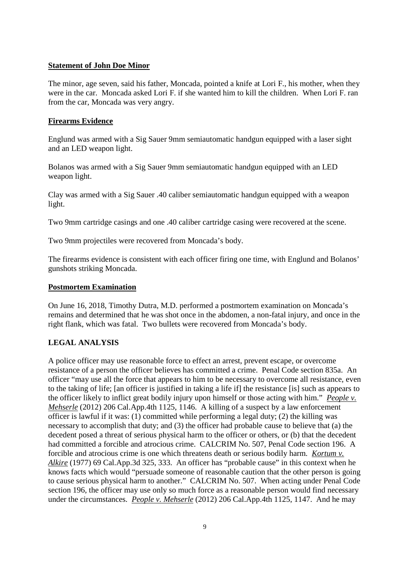#### **Statement of John Doe Minor**

The minor, age seven, said his father, Moncada, pointed a knife at Lori F., his mother, when they were in the car. Moncada asked Lori F. if she wanted him to kill the children. When Lori F. ran from the car, Moncada was very angry.

# **Firearms Evidence**

Englund was armed with a Sig Sauer 9mm semiautomatic handgun equipped with a laser sight and an LED weapon light.

Bolanos was armed with a Sig Sauer 9mm semiautomatic handgun equipped with an LED weapon light.

Clay was armed with a Sig Sauer .40 caliber semiautomatic handgun equipped with a weapon light.

Two 9mm cartridge casings and one .40 caliber cartridge casing were recovered at the scene.

Two 9mm projectiles were recovered from Moncada's body.

The firearms evidence is consistent with each officer firing one time, with Englund and Bolanos' gunshots striking Moncada.

#### **Postmortem Examination**

On June 16, 2018, Timothy Dutra, M.D. performed a postmortem examination on Moncada's remains and determined that he was shot once in the abdomen, a non-fatal injury, and once in the right flank, which was fatal. Two bullets were recovered from Moncada's body.

# **LEGAL ANALYSIS**

A police officer may use reasonable force to effect an arrest, prevent escape, or overcome resistance of a person the officer believes has committed a crime. Penal Code section 835a. An officer "may use all the force that appears to him to be necessary to overcome all resistance, even to the taking of life; [an officer is justified in taking a life if] the resistance [is] such as appears to the officer likely to inflict great bodily injury upon himself or those acting with him." *People v. Mehserle* (2012) 206 Cal.App.4th 1125, 1146. A killing of a suspect by a law enforcement officer is lawful if it was: (1) committed while performing a legal duty; (2) the killing was necessary to accomplish that duty; and (3) the officer had probable cause to believe that (a) the decedent posed a threat of serious physical harm to the officer or others, or (b) that the decedent had committed a forcible and atrocious crime. CALCRIM No. 507, Penal Code section 196. A forcible and atrocious crime is one which threatens death or serious bodily harm. *Kortum v. Alkire* (1977) 69 Cal.App.3d 325, 333. An officer has "probable cause" in this context when he knows facts which would "persuade someone of reasonable caution that the other person is going to cause serious physical harm to another." CALCRIM No. 507. When acting under Penal Code section 196, the officer may use only so much force as a reasonable person would find necessary under the circumstances. *People v. Mehserle* (2012) 206 Cal.App.4th 1125, 1147. And he may